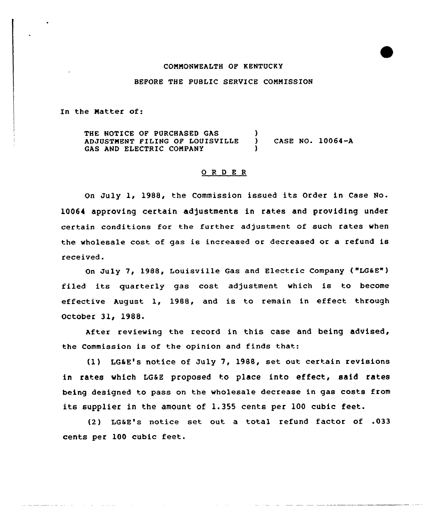#### CONNONWEALTH OP KENTUCKY

### BEFORE THE PUBLIC SERVICE COMMISSION

In the Natter of:

المنادي المتماسين

THE NOTICE OF PURCHASED GAS (3) ADJUSTMENT FILING OF LOUISVILLE ) CASE NO. 10064-A GAS AND ELECTRIC COMPANY

### O R D E R

On July 1, 1988, the Commission issued its Order in Case No. 10064 approving certain adjustments in rates and providing under certain conditions for the further adjustment of such rates when the wholesale cost of gas is increased or decreased or a refund is received.

On July 7, 1988, Louisville Qas and Electric Company ("LGaE"} filed its quarterly gas cost adjustment which is to become effective August 1, 1988, and is to remain in effect through October 31, 1988.

After reviewing the record in this case and being advised, the Commission is of the opinion and finds that:

(1) LG&E's notice of July 7, 1988, set out certain revisions in rates which LG&E proposed to place into effect, said rates being designed to pass on the wholesale decrease in gas costs from its supplier in the amount of 1.355 cents per 100 cubic feet.

(2) LGSE's notice set out a total refund factor of .033 cents per 100 cubic feet.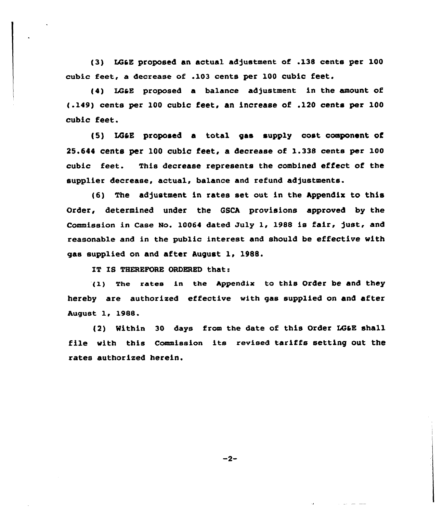(3) LG&E proposed an actual adjustment of .138 cents per 100 cubic feet, a decrease of .103 cents per 100 cubic feet.

{4) LGtE proposed a balance adjustment in the amount of (.149) cents per 100 cubic feet, an increase of .120 cents per 100 cubic feet.

(5) LGtE proposed a total gas supply cost component of 25.644 cents per 100 cubic feet, a decrease of 1.338 cents per 100 cubic feet. This decrease represents the combined effect of the supplier decrease, actual, balance and refund adjustments.

(6) The adjustment in rates set out in the Appendix to this Order, determined under the QSCA provisions approved by the Commission in Case No. 10064 dated July 1, 1988 is fair, just, and reasonable and in the public interest and should be effective with gas supplied on and after August 1, 1988.

IT IS THEREFORE ORDERED that:

{1) The rates in the Appendix to this order be and they hereby are authorized effective with gas supplied on and after August 1, 1988.

(2) Within 30 days from the date of this Order LG&E shall file with this Commission its revised tariffs setting out the rates authorized herein.

 $-2-$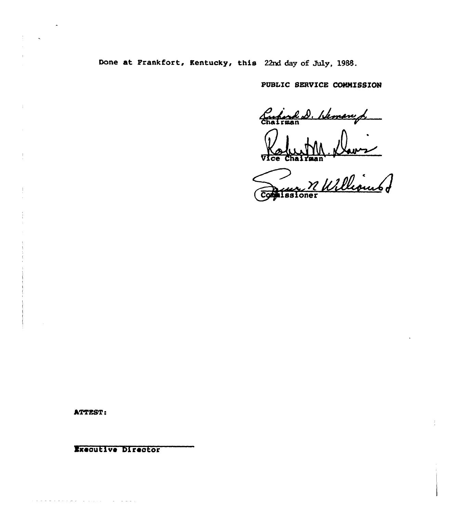Done at Frankfort, Kentucky, this 22nd day of July, 1988.

PUBLIC SERVICE COMMISSION

Curiod D. Heman d.

Commercial Villians

ATTEST:

وساواتها المنتبذ والاجتماع والمتواطئ

Executive Director